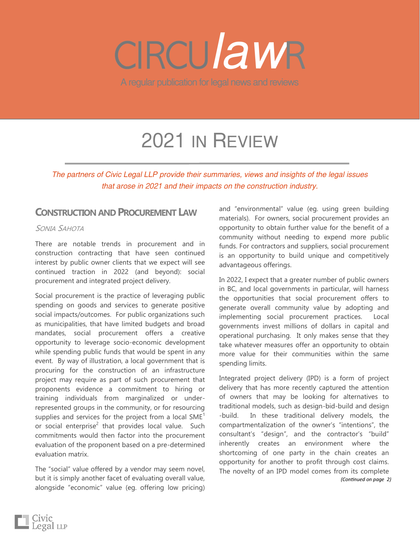# *law*

A regular publication for legal news and reviews

# 2021 IN REVIEW

*The partners of Civic Legal LLP provide their summaries, views and insights of the legal issues that arose in 2021 and their impacts on the construction industry.*

# **CONSTRUCTIONAND PROCUREMENT LAW**

# SONIA SAHOTA

There are notable trends in procurement and in construction contracting that have seen continued interest by public owner clients that we expect will see continued traction in 2022 (and beyond): social procurement and integrated project delivery.

Social procurement is the practice of leveraging public spending on goods and services to generate positive social impacts/outcomes. For public organizations such as municipalities, that have limited budgets and broad mandates, social procurement offers a creative opportunity to leverage socio-economic development while spending public funds that would be spent in any event. By way of illustration, a local government that is procuring for the construction of an infrastructure project may require as part of such procurement that proponents evidence a commitment to hiring or training individuals from marginalized or underrepresented groups in the community, or for resourcing supplies and services for the project from a local  $SME<sup>1</sup>$ or social enterprise<sup>2</sup> that provides local value. Such commitments would then factor into the procurement evaluation of the proponent based on a pre-determined evaluation matrix.

The "social" value offered by a vendor may seem novel, but it is simply another facet of evaluating overall value, alongside "economic" value (eg. offering low pricing)

and "environmental" value (eg. using green building materials). For owners, social procurement provides an opportunity to obtain further value for the benefit of a community without needing to expend more public funds. For contractors and suppliers, social procurement is an opportunity to build unique and competitively advantageous offerings.

In 2022, I expect that a greater number of public owners in BC, and local governments in particular, will harness the opportunities that social procurement offers to generate overall community value by adopting and implementing social procurement practices. Local governments invest millions of dollars in capital and operational purchasing. It only makes sense that they take whatever measures offer an opportunity to obtain more value for their communities within the same spending limits.

Integrated project delivery (IPD) is a form of project delivery that has more recently captured the attention of owners that may be looking for alternatives to traditional models, such as design-bid-build and design -build. In these traditional delivery models, the compartmentalization of the owner's "intentions", the consultant's "design", and the contractor's "build" inherently creates an environment where the shortcoming of one party in the chain creates an opportunity for another to profit through cost claims. The novelty of an IPD model comes from its complete *(Continued on page 2)*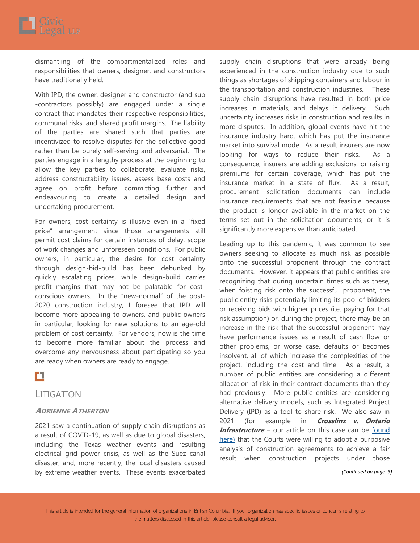

dismantling of the compartmentalized roles and responsibilities that owners, designer, and constructors have traditionally held.

With IPD, the owner, designer and constructor (and sub -contractors possibly) are engaged under a single contract that mandates their respective responsibilities, communal risks, and shared profit margins. The liability of the parties are shared such that parties are incentivized to resolve disputes for the collective good rather than be purely self-serving and adversarial. The parties engage in a lengthy process at the beginning to allow the key parties to collaborate, evaluate risks, address constructability issues, assess base costs and agree on profit before committing further and endeavouring to create a detailed design and undertaking procurement.

For owners, cost certainty is illusive even in a "fixed price" arrangement since those arrangements still permit cost claims for certain instances of delay, scope of work changes and unforeseen conditions. For public owners, in particular, the desire for cost certainty through design-bid-build has been debunked by quickly escalating prices, while design-build carries profit margins that may not be palatable for costconscious owners. In the "new-normal" of the post-2020 construction industry, I foresee that IPD will become more appealing to owners, and public owners in particular, looking for new solutions to an age-old problem of cost certainty. For vendors, now is the time to become more familiar about the process and overcome any nervousness about participating so you are ready when owners are ready to engage.

# П

# LITIGATION

#### **ADRIENNE ATHERTON**

2021 saw a continuation of supply chain disruptions as a result of COVID-19, as well as due to global disasters, including the Texas weather events and resulting electrical grid power crisis, as well as the Suez canal disaster, and, more recently, the local disasters caused by extreme weather events. These events exacerbated

supply chain disruptions that were already being experienced in the construction industry due to such things as shortages of shipping containers and labour in the transportation and construction industries. These supply chain disruptions have resulted in both price increases in materials, and delays in delivery. Such uncertainty increases risks in construction and results in more disputes. In addition, global events have hit the insurance industry hard, which has put the insurance market into survival mode. As a result insurers are now looking for ways to reduce their risks. As a consequence, insurers are adding exclusions, or raising premiums for certain coverage, which has put the insurance market in a state of flux. As a result, procurement solicitation documents can include insurance requirements that are not feasible because the product is longer available in the market on the terms set out in the solicitation documents, or it is significantly more expensive than anticipated.

Leading up to this pandemic, it was common to see owners seeking to allocate as much risk as possible onto the successful proponent through the contract documents. However, it appears that public entities are recognizing that during uncertain times such as these, when foisting risk onto the successful proponent, the public entity risks potentially limiting its pool of bidders or receiving bids with higher prices (i.e. paying for that risk assumption) or, during the project, there may be an increase in the risk that the successful proponent may have performance issues as a result of cash flow or other problems, or worse case, defaults or becomes insolvent, all of which increase the complexities of the project, including the cost and time. As a result, a number of public entities are considering a different allocation of risk in their contract documents than they had previously. More public entities are considering alternative delivery models, such as Integrated Project Delivery (IPD) as a tool to share risk. We also saw in 2021 (for example in **Crosslinx v. Ontario Infrastructure** – our article on this case can be found [here\)](http://civiclegal.ca/wp-content/uploads/2021/06/CircuLAWr-June-2021-COVID-19-Risks.pdf) that the Courts were willing to adopt a purposive analysis of construction agreements to achieve a fair result when construction projects under those

*(Continued on page 3)*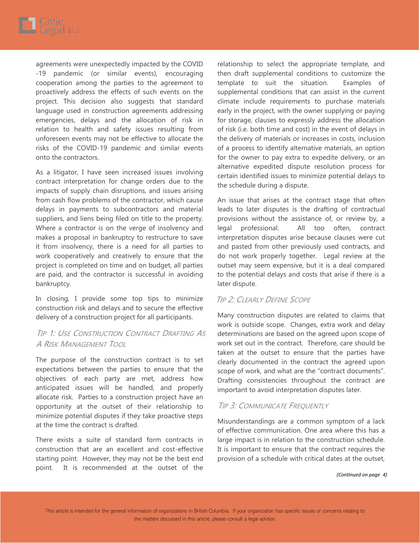

agreements were unexpectedly impacted by the COVID -19 pandemic (or similar events), encouraging cooperation among the parties to the agreement to proactively address the effects of such events on the project. This decision also suggests that standard language used in construction agreements addressing emergencies, delays and the allocation of risk in relation to health and safety issues resulting from unforeseen events may not be effective to allocate the risks of the COVID-19 pandemic and similar events onto the contractors.

As a litigator, I have seen increased issues involving contract interpretation for change orders due to the impacts of supply chain disruptions, and issues arising from cash flow problems of the contractor, which cause delays in payments to subcontractors and material suppliers, and liens being filed on title to the property. Where a contractor is on the verge of insolvency and makes a proposal in bankruptcy to restructure to save it from insolvency, there is a need for all parties to work cooperatively and creatively to ensure that the project is completed on time and on budget, all parties are paid, and the contractor is successful in avoiding bankruptcy.

In closing, I provide some top tips to minimize construction risk and delays and to secure the effective delivery of a construction project for all participants.

# TIP 1: USE CONSTRUCTION CONTRACT DRAFTING AS A RISK MANAGEMENT TOOL

The purpose of the construction contract is to set expectations between the parties to ensure that the objectives of each party are met, address how anticipated issues will be handled, and properly allocate risk. Parties to a construction project have an opportunity at the outset of their relationship to minimize potential disputes if they take proactive steps at the time the contract is drafted.

There exists a suite of standard form contracts in construction that are an excellent and cost-effective starting point. However, they may not be the best end point. It is recommended at the outset of the

relationship to select the appropriate template, and then draft supplemental conditions to customize the template to suit the situation. Examples of supplemental conditions that can assist in the current climate include requirements to purchase materials early in the project, with the owner supplying or paying for storage, clauses to expressly address the allocation of risk (i.e. both time and cost) in the event of delays in the delivery of materials or increases in costs, inclusion of a process to identify alternative materials, an option for the owner to pay extra to expedite delivery, or an alternative expedited dispute resolution process for certain identified issues to minimize potential delays to the schedule during a dispute.

An issue that arises at the contract stage that often leads to later disputes is the drafting of contractual provisions without the assistance of, or review by, a legal professional. All too often, contract interpretation disputes arise because clauses were cut and pasted from other previously used contracts, and do not work properly together. Legal review at the outset may seem expensive, but it is a deal compared to the potential delays and costs that arise if there is a later dispute.

# TIP 2: CLEARLY DEFINE SCOPE

Many construction disputes are related to claims that work is outside scope. Changes, extra work and delay determinations are based on the agreed upon scope of work set out in the contract. Therefore, care should be taken at the outset to ensure that the parties have clearly documented in the contract the agreed upon scope of work, and what are the "contract documents". Drafting consistencies throughout the contract are important to avoid interpretation disputes later.

# TIP 3: COMMUNICATE FREQUENTLY

Misunderstandings are a common symptom of a lack of effective communication. One area where this has a large impact is in relation to the construction schedule. It is important to ensure that the contract requires the provision of a schedule with critical dates at the outset,

*(Continued on page 4)*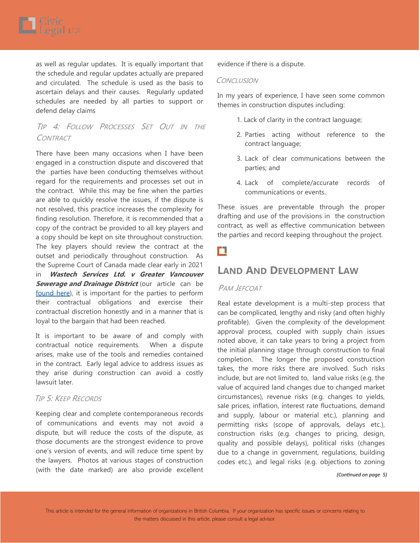

as well as regular updates. It is equally important that the schedule and regular updates actually are prepared and circulated. The schedule is used as the basis to ascertain delays and their causes. Regularly updated schedules are needed by all parties to support or defend delay claims

# TIP 4: FOLLOW PROCESSES SET OUT IN THE **CONTRACT**

There have been many occasions when I have been engaged in a construction dispute and discovered that the parties have been conducting themselves without regard for the requirements and processes set out in the contract. While this may be fine when the parties are able to quickly resolve the issues, if the dispute is not resolved, this practice increases the complexity for finding resolution. Therefore, it is recommended that a copy of the contract be provided to all key players and a copy should be kept on site throughout construction. The key players should review the contract at the outset and periodically throughout construction. As the Supreme Court of Canada made clear early in 2021 in **Wastech Services Ltd. v Greater Vancouver Sewerage and Drainage District** (our article can be [found here\),](http://civiclegal.ca/wp-content/uploads/2021/03/CircuLAWr-March-2021-Good-Faith-Part-3.pdf) it is important for the parties to perform their contractual obligations and exercise their contractual discretion honestly and in a manner that is loyal to the bargain that had been reached.

It is important to be aware of and comply with contractual notice requirements. When a dispute arises, make use of the tools and remedies contained in the contract. Early legal advice to address issues as they arise during construction can avoid a costly lawsuit later.

### TIP 5: KEEP RECORDS

Keeping clear and complete contemporaneous records of communications and events may not avoid a dispute, but will reduce the costs of the dispute, as those documents are the strongest evidence to prove one's version of events, and will reduce time spent by the lawyers. Photos at various stages of construction (with the date marked) are also provide excellent

evidence if there is a dispute.

#### **CONCLUSION**

In my years of experience, I have seen some common themes in construction disputes including:

- 1. Lack of clarity in the contract language;
- 2. Parties acting without reference to the contract language;
- 3. Lack of clear communications between the parties; and
- 4. Lack of complete/accurate records of communications or events.

These issues are preventable through the proper drafting and use of the provisions in the construction contract, as well as effective communication between the parties and record keeping throughout the project.

# п

# **LAND AND DEVELOPMENT LAW**

#### PAM JEFCOAT

Real estate development is a multi-step process that can be complicated, lengthy and risky (and often highly profitable). Given the complexity of the development approval process, coupled with supply chain issues noted above, it can take years to bring a project from the initial planning stage through construction to final completion. The longer the proposed construction takes, the more risks there are involved. Such risks include, but are not limited to, land value risks (e.g. the value of acquired land changes due to changed market circumstances), revenue risks (e.g. changes to yields, sale prices, inflation, interest rate fluctuations, demand and supply, labour or material etc.), planning and permitting risks (scope of approvals, delays etc.), construction risks (e.g. changes to pricing, design, quality and possible delays), political risks (changes due to a change in government, regulations, building codes etc.), and legal risks (e.g. objections to zoning

#### *(Continued on page 5)*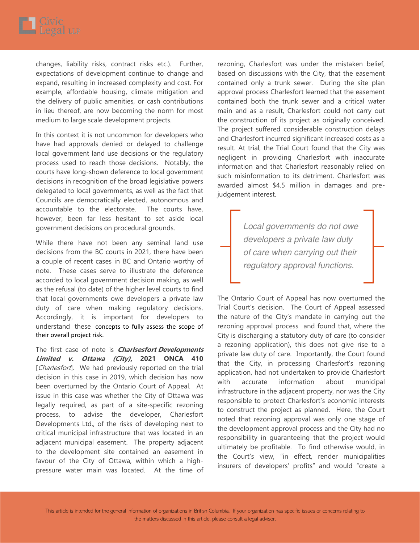

changes, liability risks, contract risks etc.). Further, expectations of development continue to change and expand, resulting in increased complexity and cost. For example, affordable housing, climate mitigation and the delivery of public amenities, or cash contributions in lieu thereof, are now becoming the norm for most medium to large scale development projects.

In this context it is not uncommon for developers who have had approvals denied or delayed to challenge local government land use decisions or the regulatory process used to reach those decisions. Notably, the courts have long-shown deference to local government decisions in recognition of the broad legislative powers delegated to local governments, as well as the fact that Councils are democratically elected, autonomous and accountable to the electorate. The courts have, however, been far less hesitant to set aside local government decisions on procedural grounds.

While there have not been any seminal land use decisions from the BC courts in 2021, there have been a couple of recent cases in BC and Ontario worthy of note. These cases serve to illustrate the deference accorded to local government decision making, as well as the refusal (to date) of the higher level courts to find that local governments owe developers a private law duty of care when making regulatory decisions. Accordingly, it is important for developers to understand these concepts to fully assess the scope of their overall project risk.

The first case of note is **Charlsesfort Developments Limited v. Ottawa (City), 2021 ONCA 410** [Charlesfort]. We had previously reported on the trial decision in this case in 2019, which decision has now been overturned by the Ontario Court of Appeal. At issue in this case was whether the City of Ottawa was legally required, as part of a site-specific rezoning process, to advise the developer, Charlesfort Developments Ltd., of the risks of developing next to critical municipal infrastructure that was located in an adjacent municipal easement. The property adjacent to the development site contained an easement in favour of the City of Ottawa, within which a highpressure water main was located. At the time of

rezoning, Charlesfort was under the mistaken belief, based on discussions with the City, that the easement contained only a trunk sewer. During the site plan approval process Charlesfort learned that the easement contained both the trunk sewer and a critical water main and as a result, Charlesfort could not carry out the construction of its project as originally conceived. The project suffered considerable construction delays and Charlesfort incurred significant increased costs as a result. At trial, the Trial Court found that the City was negligent in providing Charlesfort with inaccurate information and that Charlesfort reasonably relied on such misinformation to its detriment. Charlesfort was awarded almost \$4.5 million in damages and prejudgement interest.

> *Local governments do not owe developers a private law duty of care when carrying out their regulatory approval functions.*

The Ontario Court of Appeal has now overturned the Trial Court's decision. The Court of Appeal assessed the nature of the City's mandate in carrying out the rezoning approval process and found that, where the City is discharging a statutory duty of care (to consider a rezoning application), this does not give rise to a private law duty of care. Importantly, the Court found that the City, in processing Charlesfort's rezoning application, had not undertaken to provide Charlesfort with accurate information about municipal infrastructure in the adjacent property, nor was the City responsible to protect Charlesfort's economic interests to construct the project as planned. Here, the Court noted that rezoning approval was only one stage of the development approval process and the City had no responsibility in guaranteeing that the project would ultimately be profitable. To find otherwise would, in the Court's view, "in effect, render municipalities insurers of developers' profits" and would "create a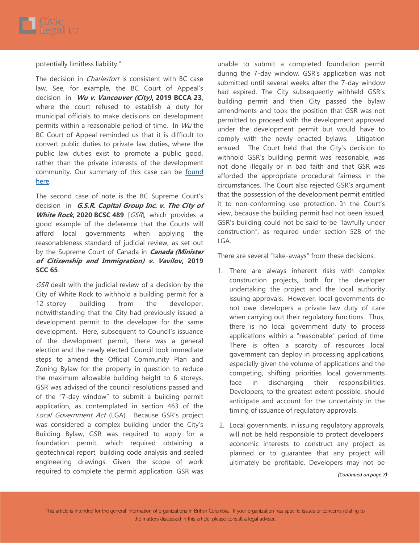

potentially limitless liability."

The decision in *Charlesfort* is consistent with BC case law. See, for example, the BC Court of Appeal's decision in **Wu v. Vancouver (City), 2019 BCCA 23**, where the court refused to establish a duty for municipal officials to make decisions on development permits within a reasonable period of time. In  $Wu$  the BC Court of Appeal reminded us that it is difficult to convert public duties to private law duties, where the public law duties exist to promote a public good, rather than the private interests of the development community. Our summary of this case can be found [here.](http://civiclegal.ca/wp-content/uploads/2019/01/CircuLAWr-2019-January-Wu-v.-Vancouver-City-2019-BCCA-23.pdf) 

The second case of note is the BC Supreme Court's decision in **G.S.R. Capital Group Inc. v. The City of White Rock, 2020 BCSC 489** [GSR], which provides a good example of the deference that the Courts will afford local governments when applying the reasonableness standard of judicial review, as set out by the Supreme Court of Canada in **Canada (Minister of Citizenship and Immigration) v. Vavilov, 2019 SCC 65**.

GSR dealt with the judicial review of a decision by the City of White Rock to withhold a building permit for a 12-storey building from the developer, notwithstanding that the City had previously issued a development permit to the developer for the same development. Here, subsequent to Council's issuance of the development permit, there was a general election and the newly elected Council took immediate steps to amend the Official Community Plan and Zoning Bylaw for the property in question to reduce the maximum allowable building height to 6 storeys. GSR was advised of the council resolutions passed and of the "7-day window" to submit a building permit application, as contemplated in section 463 of the Local Government Act (LGA). Because GSR's project was considered a complex building under the City's Building Bylaw, GSR was required to apply for a foundation permit, which required obtaining a geotechnical report, building code analysis and sealed engineering drawings. Given the scope of work required to complete the permit application, GSR was

unable to submit a completed foundation permit during the 7-day window. GSR's application was not submitted until several weeks after the 7-day window had expired. The City subsequently withheld GSR's building permit and then City passed the bylaw amendments and took the position that GSR was not permitted to proceed with the development approved under the development permit but would have to comply with the newly enacted bylaws. Litigation ensued. The Court held that the City's decision to withhold GSR's building permit was reasonable, was not done illegally or in bad faith and that GSR was afforded the appropriate procedural fairness in the circumstances. The Court also rejected GSR's argument that the possession of the development permit entitled it to non-conforming use protection. In the Court's view, because the building permit had not been issued, GSR's building could not be said to be "lawfully under construction", as required under section 528 of the LGA.

There are several "take-aways" from these decisions:

- 1. There are always inherent risks with complex construction projects, both for the developer undertaking the project and the local authority issuing approvals. However, local governments do not owe developers a private law duty of care when carrying out their regulatory functions. Thus, there is no local government duty to process applications within a "reasonable" period of time. There is often a scarcity of resources local government can deploy in processing applications, especially given the volume of applications and the competing, shifting priorities local governments face in discharging their responsibilities. Developers, to the greatest extent possible, should anticipate and account for the uncertainty in the timing of issuance of regulatory approvals.
- 2. Local governments, in issuing regulatory approvals, will not be held responsible to protect developers' economic interests to construct any project as planned or to guarantee that any project will ultimately be profitable. Developers may not be

#### *(Continued on page 7)*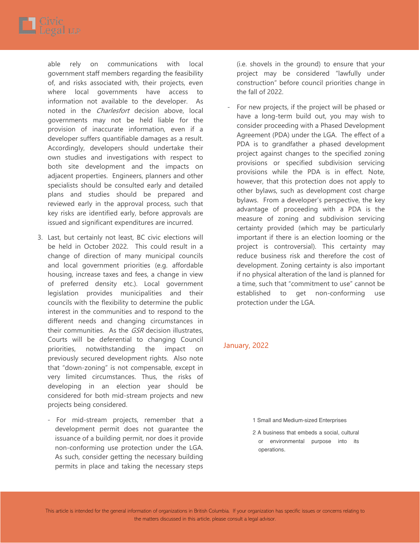

able rely on communications with local government staff members regarding the feasibility of, and risks associated with, their projects, even where local governments have access information not available to the developer. As noted in the *Charlesfort* decision above, local governments may not be held liable for the provision of inaccurate information, even if a developer suffers quantifiable damages as a result. Accordingly, developers should undertake their own studies and investigations with respect to both site development and the impacts on adjacent properties. Engineers, planners and other specialists should be consulted early and detailed plans and studies should be prepared and reviewed early in the approval process, such that key risks are identified early, before approvals are issued and significant expenditures are incurred.

- 3. Last, but certainly not least, BC civic elections will be held in October 2022. This could result in a change of direction of many municipal councils and local government priorities (e.g. affordable housing, increase taxes and fees, a change in view of preferred density etc.). Local government legislation provides municipalities and their councils with the flexibility to determine the public interest in the communities and to respond to the different needs and changing circumstances in their communities. As the GSR decision illustrates, Courts will be deferential to changing Council priorities, notwithstanding the impact on previously secured development rights. Also note that "down-zoning" is not compensable, except in very limited circumstances. Thus, the risks of developing in an election year should be considered for both mid-stream projects and new projects being considered.
	- For mid-stream projects, remember that a development permit does not guarantee the issuance of a building permit, nor does it provide non-conforming use protection under the LGA. As such, consider getting the necessary building permits in place and taking the necessary steps

(i.e. shovels in the ground) to ensure that your project may be considered "lawfully under construction" before council priorities change in the fall of 2022.

- For new projects, if the project will be phased or have a long-term build out, you may wish to consider proceeding with a Phased Development Agreement (PDA) under the LGA. The effect of a PDA is to grandfather a phased development project against changes to the specified zoning provisions or specified subdivision servicing provisions while the PDA is in effect. Note, however, that this protection does not apply to other bylaws, such as development cost charge bylaws. From a developer's perspective, the key advantage of proceeding with a PDA is the measure of zoning and subdivision servicing certainty provided (which may be particularly important if there is an election looming or the project is controversial). This certainty may reduce business risk and therefore the cost of development. Zoning certainty is also important if no physical alteration of the land is planned for a time, such that "commitment to use" cannot be established to get non-conforming use protection under the LGA.

#### January, 2022

- 1 Small and Medium-sized Enterprises
- 2 A business that embeds a social, cultural or environmental purpose into its operations.